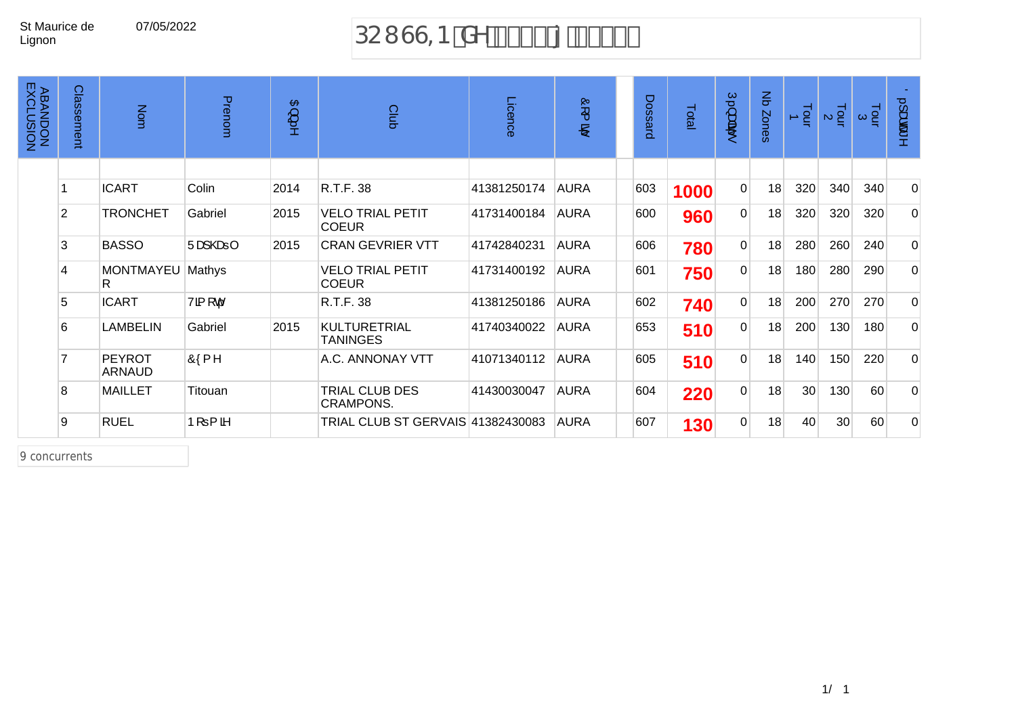# 07/05/2022 DCI GG=B XY &\$%({ &\$&&

| <b>ABANDON<br/>ABANDON</b> | Classement     | Nom                            | Prenom                           | $\mathfrak{B}$<br>$\mathbb{Z}^2$ | Club                                    | Licence     | Ò<br>$\overline{\phantom{1}}$<br>B) | Dossard | Total | $\overline{C}$<br>ंद्रीक्<br>56 | $\frac{2}{\sigma}$<br>Zones | $\overline{P}$ + | $\frac{1}{2}$ $\alpha$ | $\frac{1}{2}$ $\alpha$ | 0.1ace^     |
|----------------------------|----------------|--------------------------------|----------------------------------|----------------------------------|-----------------------------------------|-------------|-------------------------------------|---------|-------|---------------------------------|-----------------------------|------------------|------------------------|------------------------|-------------|
|                            |                |                                |                                  |                                  |                                         |             |                                     |         |       |                                 |                             |                  |                        |                        |             |
|                            |                | <b>ICART</b>                   | Colin                            | 2014                             | R.T.F. 38                               | 41381250174 | <b>AURA</b>                         | 603     | 1000  | $\overline{0}$                  | 18                          | 320              | 340                    | 340                    | $\Omega$    |
|                            | $\overline{2}$ | <b>TRONCHET</b>                | Gabriel                          | 2015                             | <b>VELO TRIAL PETIT</b><br><b>COEUR</b> | 41731400184 | <b>AURA</b>                         | 600     | 960   | $\overline{0}$                  | 18                          | 320              | 320                    | 320                    | $\Omega$    |
|                            | 3              | <b>BASSO</b>                   | $\mathsf{U}$ aa}@a⇒ $\mathsf{I}$ | 2015                             | <b>CRAN GEVRIER VTT</b>                 | 41742840231 | <b>AURA</b>                         | 606     | 780   | $\overline{0}$                  | 18                          | 280              | 260                    | 240                    | $\mathbf 0$ |
|                            | $\overline{4}$ | MONTMAYEU<br>R.                | Mathys                           |                                  | <b>VELO TRIAL PETIT</b><br><b>COEUR</b> | 41731400192 | <b>AURA</b>                         | 601     | 750   | $\overline{0}$                  | 18                          | 180              | 280                    | 290                    | $\mathbf 0$ |
|                            | 5              | <b>ICART</b>                   | Vã [ c                           |                                  | R.T.F. 38                               | 41381250186 | <b>AURA</b>                         | 602     | 740   | $\overline{0}$                  | 18                          | 200              | 270                    | 270                    | $\mathbf 0$ |
|                            | 6              | <b>LAMBELIN</b>                | Gabriel                          | 2015                             | <b>KULTURETRIAL</b><br><b>TANINGES</b>  | 41740340022 | <b>AURA</b>                         | 653     | 510   | $\overline{0}$                  | 18                          | 200              | 130                    | 180                    | $\mathbf 0$ |
|                            |                | <b>PEYROT</b><br><b>ARNAUD</b> | Ôf{ ^                            |                                  | A.C. ANNONAY VTT                        | 41071340112 | <b>AURA</b>                         | 605     | 510   | $\overline{0}$                  | 18                          | 140              | 150                    | 220                    | $\mathbf 0$ |
|                            | $\mathbf{8}$   | <b>MAILLET</b>                 | Titouan                          |                                  | TRIAL CLUB DES<br><b>CRAMPONS.</b>      | 41430030047 | <b>AURA</b>                         | 604     | 220   | $\overline{0}$                  | 18                          | 30               | 130                    | 60                     | $\Omega$    |
|                            | 9              | <b>RUEL</b>                    | $P[ = \{$ $\delta$               |                                  | TRIAL CLUB ST GERVAIS 41382430083       |             | <b>AURA</b>                         | 607     | 130   | $\Omega$                        | 18                          | 40               | 30 <sup>°</sup>        | 60                     | $\Omega$    |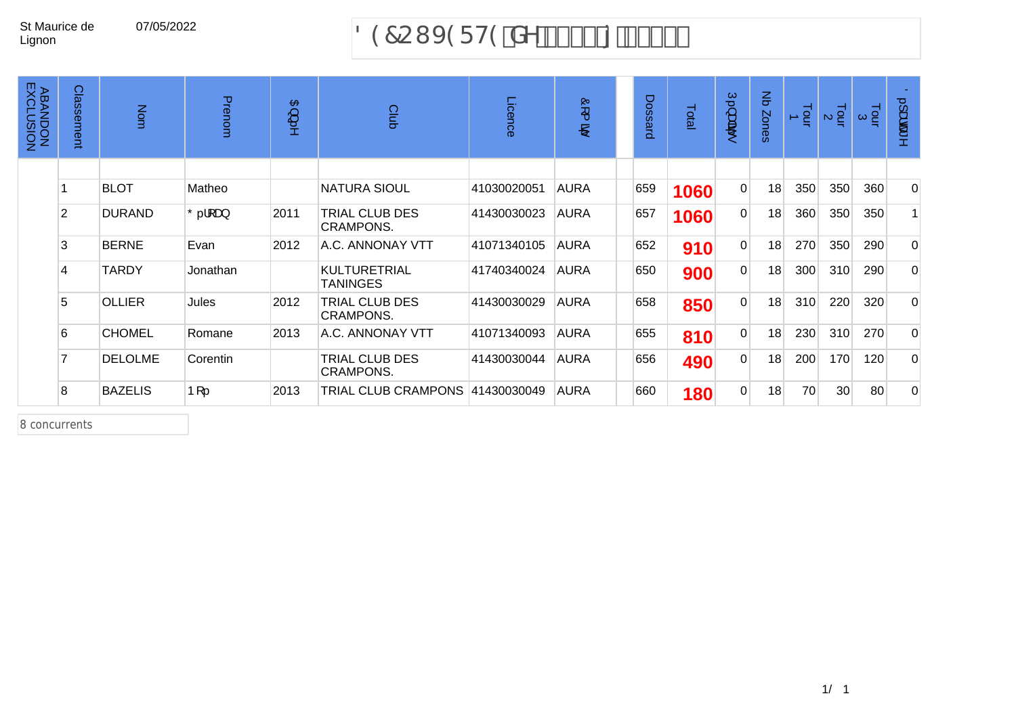# 07/05/2022 897CI J 9F H9 'XY '% \$\$ { '&\$%

| <b>ABANDON<br/>ABANDON</b> | Classement     | Nom            | Prenom    | 日<br>پ<br>$\Rightarrow$ | Club                                   | Licence     | Ò<br>$\overline{\phantom{a}}$<br>B, | <b>Dossard</b> | Total | $\subseteq$<br>سه<br>ंद्रीहर<br>to. | $\mathsf{g}% _{T}$<br>Zones | $\frac{1}{2}$ | Tour<br>$\mathbb N$ | Tour<br>$\omega$ | O. Jace<br>ь   |
|----------------------------|----------------|----------------|-----------|-------------------------|----------------------------------------|-------------|-------------------------------------|----------------|-------|-------------------------------------|-----------------------------|---------------|---------------------|------------------|----------------|
|                            |                | <b>BLOT</b>    | Matheo    |                         | <b>NATURA SIOUL</b>                    | 41030020051 | <b>AURA</b>                         | 659            | 1060  | $\overline{0}$                      | 18                          | 350           | 350                 | 360              | $\overline{0}$ |
|                            | $\overline{2}$ | <b>DURAND</b>  | ∣Õ. ¦[ æ} | 2011                    | TRIAL CLUB DES<br><b>CRAMPONS.</b>     | 41430030023 | <b>AURA</b>                         | 657            | 1060  | $\overline{0}$                      | 18                          | 360           | 350                 | 350              | $\mathbf{1}$   |
|                            | 3              | <b>BERNE</b>   | Evan      | 2012                    | A.C. ANNONAY VTT                       | 41071340105 | <b>AURA</b>                         | 652            | 910   | $\overline{0}$                      | 18                          | 270           | 350                 | 290              | $\overline{0}$ |
|                            | 4              | <b>TARDY</b>   | Jonathan  |                         | <b>KULTURETRIAL</b><br><b>TANINGES</b> | 41740340024 | <b>AURA</b>                         | 650            | 900   | $\overline{0}$                      | 18                          | 300           | 310                 | 290              | $\Omega$       |
|                            | 5              | <b>OLLIER</b>  | Jules     | 2012                    | TRIAL CLUB DES<br><b>CRAMPONS.</b>     | 41430030029 | <b>AURA</b>                         | 658            | 850   | $\overline{0}$                      | 18                          | 310           | 220                 | 320              | $\Omega$       |
|                            | 6              | <b>CHOMEL</b>  | Romane    | 2013                    | A.C. ANNONAY VTT                       | 41071340093 | <b>AURA</b>                         | 655            | 810   | $\overline{0}$                      | 18                          | 230           | 310                 | 270              | $\Omega$       |
|                            | 7              | <b>DELOLME</b> | Corentin  |                         | TRIAL CLUB DES<br><b>CRAMPONS.</b>     | 41430030044 | <b>AURA</b>                         | 656            | 490   | $\overline{0}$                      | 18                          | 200           | 170                 | 120              | $\overline{0}$ |
|                            | 8              | <b>BAZELIS</b> | $P[$      | 2013                    | TRIAL CLUB CRAMPONS 41430030049        |             | <b>AURA</b>                         | 660            | 180   | $\overline{0}$                      | 18                          | 70            | 30 <sup>°</sup>     | 80               | $\Omega$       |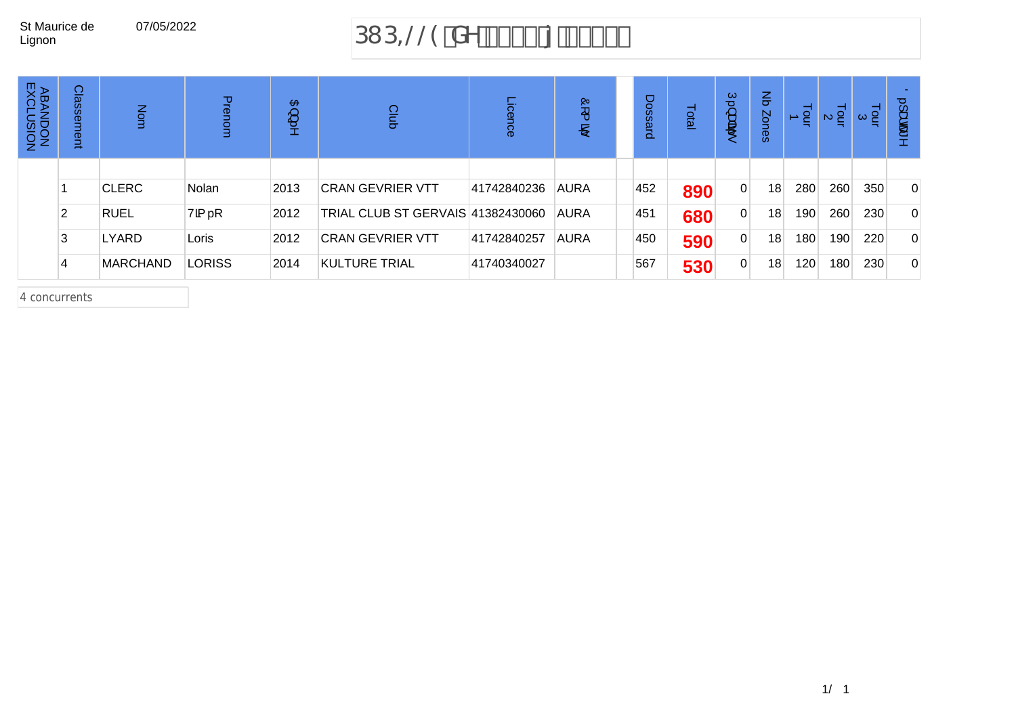## 07/05/2022 383,//(GHj

| <b>ABANDON<br/>ABANDON</b> | Class<br>sement | Nom             | Prenon        | 日<br>ىپ<br>5 | Club                              | <i>icence</i> | Ò,<br>ᅩ<br>ஜ | Dossard | Total | C,<br>ىپ<br>वैंदी | $\mathbf{r}$<br>Zones | $\frac{1}{2}$    | $\frac{1}{2}$ $\alpha$ | $\frac{1}{2}$ $\alpha$ | $\circ$<br>க்க |
|----------------------------|-----------------|-----------------|---------------|--------------|-----------------------------------|---------------|--------------|---------|-------|-------------------|-----------------------|------------------|------------------------|------------------------|----------------|
|                            |                 |                 |               |              |                                   |               |              |         |       |                   |                       |                  |                        |                        |                |
|                            |                 | <b>CLERC</b>    | Nolan         | 2013         | ICRAN GEVRIER VTT                 | 41742840236   | <b>AURA</b>  | 452     | 890   | $\Omega$          | 18                    | 280              | 260                    | 350                    | $\mathbf{0}$   |
|                            |                 | <b>RUEL</b>     | Vã            | 2012         | TRIAL CLUB ST GERVAIS 41382430060 |               | <b>AURA</b>  | 451     | 680   | $\overline{0}$    | 18 <sub>1</sub>       | 190              | 260                    | 230                    | 0              |
|                            | 3               | LYARD           | Loris         | 2012         | <b>CRAN GEVRIER VTT</b>           | 41742840257   | <b>AURA</b>  | 450     | 590   | $\Omega$          | 18                    | 180              | 190                    | 220                    | $\mathbf{0}$   |
|                            | 4               | <b>MARCHAND</b> | <b>LORISS</b> | 2014         | KULTURE TRIAL                     | 41740340027   |              | 567     | 530   | $\overline{0}$    | 18                    | 120 <sub>1</sub> | 180                    | 230                    | $\mathbf{0}$   |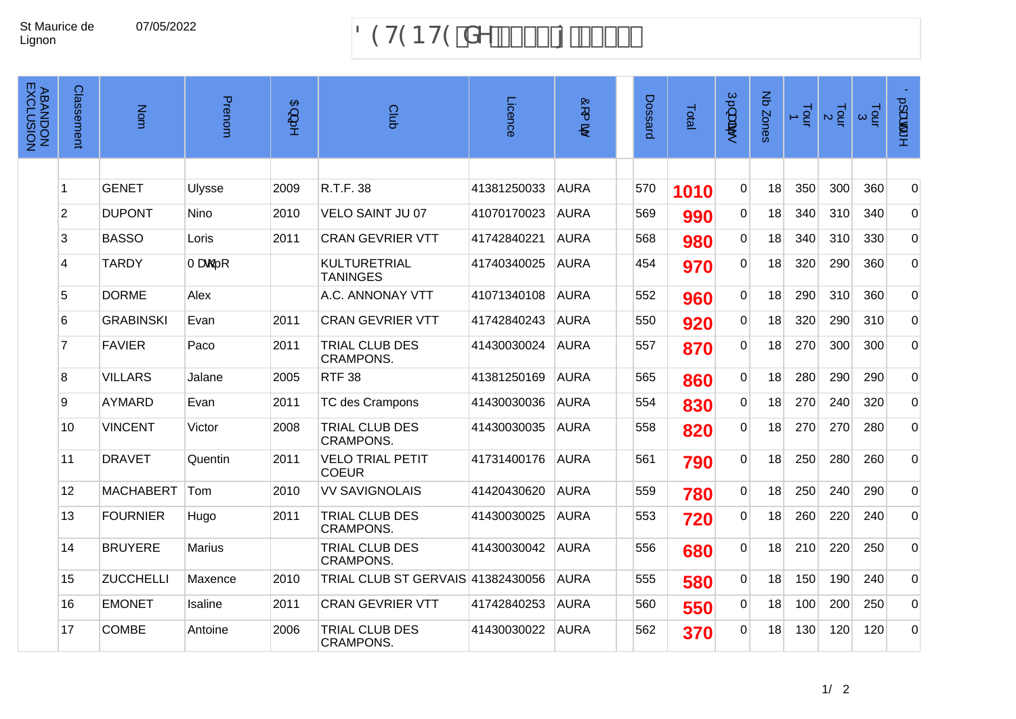## 07/05/2022 89H9BH9 XY % \$\$ { &\$%%

| <b>ABANDON<br/>ABANDON</b> | Classement     | Nom              | Prenom      | $\mathfrak{B}$ ) | Club                                      | Licence     | òr (<br>$\mathbf{P}^i$ | Dossard | Total | Ú.}apã         | Nb Zones | $\frac{1}{2}$ | $\frac{1}{2}$ $\alpha$ | $\frac{1}{2}$ $\alpha$ | $0.1$ adat ^   |
|----------------------------|----------------|------------------|-------------|------------------|-------------------------------------------|-------------|------------------------|---------|-------|----------------|----------|---------------|------------------------|------------------------|----------------|
|                            |                |                  |             |                  |                                           |             |                        |         |       |                |          |               |                        |                        |                |
|                            | 1              | <b>GENET</b>     | Ulysse      | 2009             | R.T.F. 38                                 | 41381250033 | <b>AURA</b>            | 570     | 1010  | $\mathbf 0$    | 18       | 350           | 300                    | 360                    | $\Omega$       |
|                            | $\overline{2}$ | <b>DUPONT</b>    | <b>Nino</b> | 2010             | <b>VELO SAINT JU 07</b>                   | 41070170023 | <b>AURA</b>            | 569     | 990   | $\Omega$       | 18       | 340           | 310                    | 340                    | $\overline{0}$ |
|                            | 3              | <b>BASSO</b>     | Loris       | 2011             | <b>CRAN GEVRIER VTT</b>                   | 41742840221 | <b>AURA</b>            | 568     | 980   | $\mathbf{0}$   | 18       | 340           | 310                    | 330                    | $\overline{0}$ |
|                            | 4              | <b>TARDY</b>     | T æ@.[      |                  | <b>KULTURETRIAL</b><br><b>TANINGES</b>    | 41740340025 | <b>AURA</b>            | 454     | 970   | $\overline{0}$ | 18       | 320           | 290                    | 360                    | $\overline{0}$ |
|                            | 5              | <b>DORME</b>     | Alex        |                  | A.C. ANNONAY VTT                          | 41071340108 | <b>AURA</b>            | 552     | 960   | $\Omega$       | 18       | 290           | 310                    | 360                    | $\overline{0}$ |
|                            | 6              | <b>GRABINSKI</b> | Evan        | 2011             | <b>CRAN GEVRIER VTT</b>                   | 41742840243 | <b>AURA</b>            | 550     | 920   | $\overline{0}$ | 18       | 320           | 290                    | 310                    | $\Omega$       |
|                            | $\overline{7}$ | <b>FAVIER</b>    | Paco        | 2011             | <b>TRIAL CLUB DES</b><br><b>CRAMPONS.</b> | 41430030024 | <b>AURA</b>            | 557     | 870   | $\Omega$       | 18       | 270           | 300                    | 300                    | $\overline{0}$ |
|                            | 8              | <b>VILLARS</b>   | Jalane      | 2005             | <b>RTF 38</b>                             | 41381250169 | <b>AURA</b>            | 565     | 860   | $\overline{0}$ | 18       | 280           | 290                    | 290                    | $\overline{0}$ |
|                            | 9              | <b>AYMARD</b>    | Evan        | 2011             | TC des Crampons                           | 41430030036 | <b>AURA</b>            | 554     | 830   | $\mathbf{0}$   | 18       | 270           | 240                    | 320                    | $\overline{0}$ |
|                            | 10             | <b>VINCENT</b>   | Victor      | 2008             | TRIAL CLUB DES<br><b>CRAMPONS.</b>        | 41430030035 | <b>AURA</b>            | 558     | 820   | $\Omega$       | 18       | 270           | 270                    | 280                    | $\overline{0}$ |
|                            | 11             | <b>DRAVET</b>    | Quentin     | 2011             | <b>VELO TRIAL PETIT</b><br><b>COEUR</b>   | 41731400176 | <b>AURA</b>            | 561     | 790   | $\Omega$       | 18       | 250           | 280                    | 260                    | $\overline{0}$ |
|                            | 12             | <b>MACHABERT</b> | Tom         | 2010             | <b>VV SAVIGNOLAIS</b>                     | 41420430620 | <b>AURA</b>            | 559     | 780   | $\overline{0}$ | 18       | 250           | 240                    | 290                    | $\overline{0}$ |
|                            | 13             | <b>FOURNIER</b>  | Hugo        | 2011             | TRIAL CLUB DES<br><b>CRAMPONS.</b>        | 41430030025 | <b>AURA</b>            | 553     | 720   | $\Omega$       | 18       | 260           | 220                    | 240                    | $\overline{0}$ |
|                            | 14             | <b>BRUYERE</b>   | Marius      |                  | TRIAL CLUB DES<br><b>CRAMPONS.</b>        | 41430030042 | <b>AURA</b>            | 556     | 680   | $\Omega$       | 18       | 210           | 220                    | 250                    | $\Omega$       |
|                            | 15             | <b>ZUCCHELLI</b> | Maxence     | 2010             | TRIAL CLUB ST GERVAIS 41382430056         |             | <b>AURA</b>            | 555     | 580   | $\mathbf{0}$   | 18       | 150           | 190                    | 240                    | $\overline{0}$ |
|                            | 16             | <b>EMONET</b>    | Isaline     | 2011             | <b>CRAN GEVRIER VTT</b>                   | 41742840253 | <b>AURA</b>            | 560     | 550   | $\mathbf 0$    | 18       | 100           | 200                    | 250                    | $\overline{0}$ |
|                            | 17             | <b>COMBE</b>     | Antoine     | 2006             | TRIAL CLUB DES<br><b>CRAMPONS.</b>        | 41430030022 | <b>AURA</b>            | 562     | 370   | $\Omega$       | 18       | 130           | 120                    | 120                    | $\Omega$       |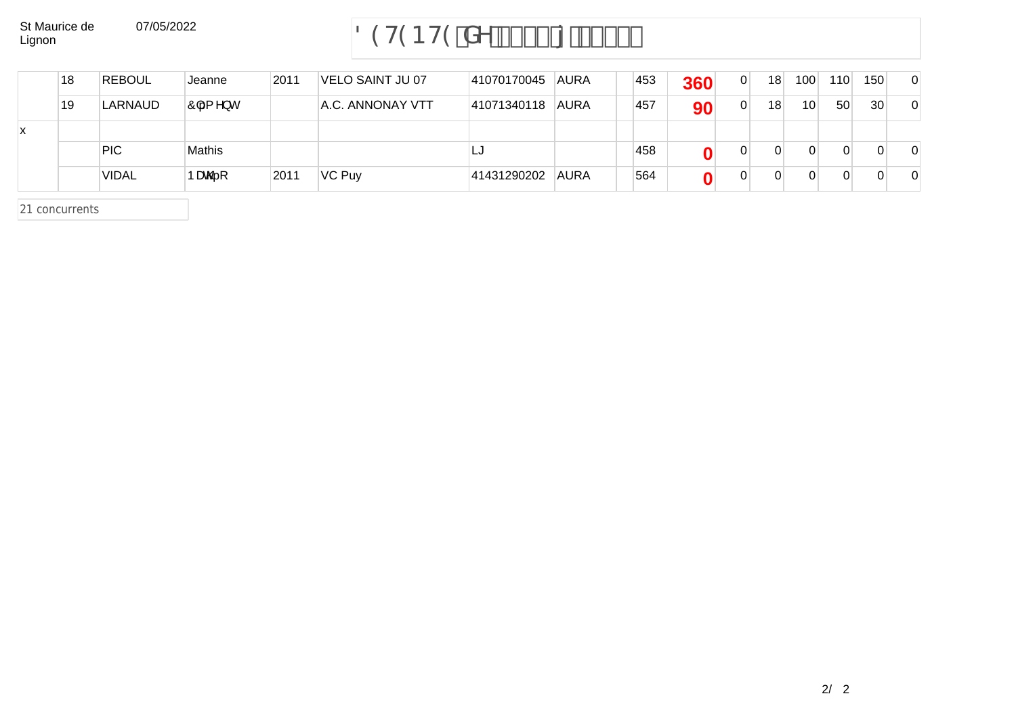## 07/05/2022 89H9BH9 XY % \$\$ { &\$%%

|   | 18 | <b>REBOUL</b> | Jeanne   | 2011 | VELO SAINT JU 07 | 41070170045 | <b>AURA</b> | 453 | 360 | $\Omega$ | 18 <sub>1</sub> | 100 <sub>1</sub> | 110 | 150             | $\overline{0}$ |
|---|----|---------------|----------|------|------------------|-------------|-------------|-----|-----|----------|-----------------|------------------|-----|-----------------|----------------|
|   | 19 | LARNAUD       | Ô { ^} c |      | A.C. ANNONAY VTT | 41071340118 | <b>AURA</b> | 457 | 90  | 0        | 18              | 10               | 50  | 30 <sup>°</sup> | $\overline{0}$ |
| х |    |               |          |      |                  |             |             |     |     |          |                 |                  |     |                 |                |
|   |    | PIC.          | Mathis   |      |                  | LJ          |             | 458 |     |          |                 |                  |     |                 | $\Omega$       |
|   |    | <b>VIDAL</b>  | Þæ@[     | 2011 | VC Puy           | 41431290202 | AURA        | 564 |     |          | 0               |                  |     | 0               | $\Omega$       |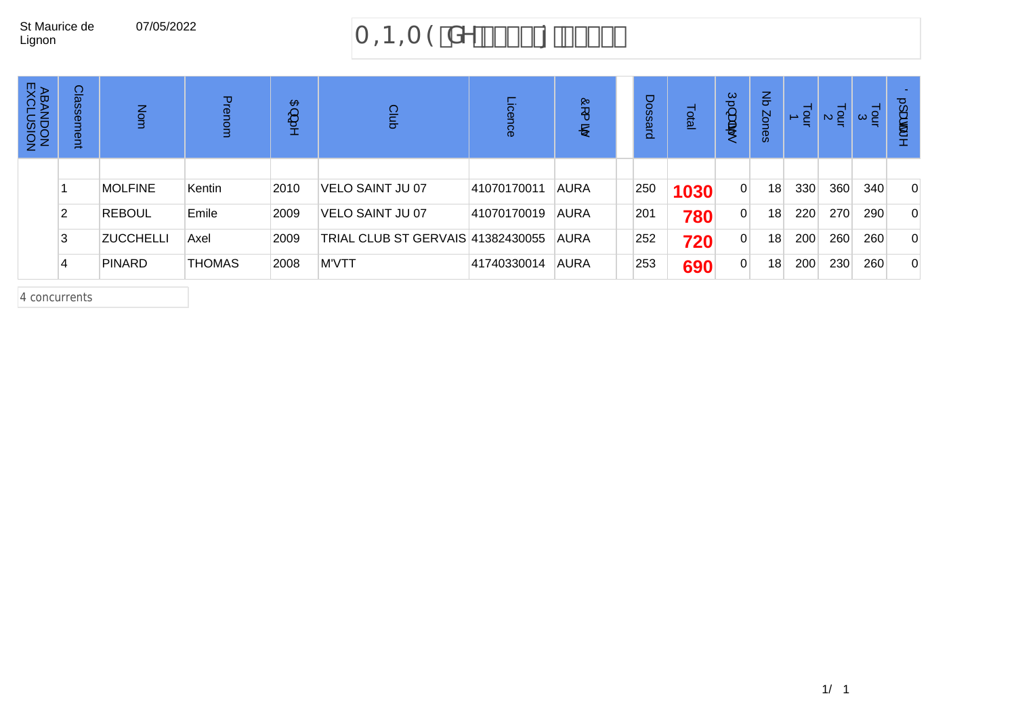# 07/05/2022  $A = B = A9'XY'855, {855 - 10}$

| <b>ABAI</b><br>RXCL<br><b>LUSION</b><br>LUSION | Classement | Nom              | Prenom        | $\mathbf{B}$<br>ىپ<br>ь | Club                              | icence      | <b>Q</b><br>∼<br>ஜ | Dossard | Total | Ć<br>ىپ<br>वैंदी | $\mathbf{r}$<br>Zones | Lour<br>$\overline{\phantom{a}}$ | $\frac{1}{2}$ $\alpha$ | $\frac{1}{2}$ $\alpha$ | $\circ$<br>ىب<br>க்க |
|------------------------------------------------|------------|------------------|---------------|-------------------------|-----------------------------------|-------------|--------------------|---------|-------|------------------|-----------------------|----------------------------------|------------------------|------------------------|----------------------|
|                                                |            | <b>MOLFINE</b>   | Kentin        | 2010                    | VELO SAINT JU 07                  | 41070170011 | <b>AURA</b>        | 250     | 1030  | $\overline{0}$   | 18                    | 330                              | 360                    | 340                    | $\mathbf{0}$         |
|                                                |            | <b>REBOUL</b>    | Emile         | 2009                    | VELO SAINT JU 07                  | 41070170019 | <b>AURA</b>        | 201     | 780   | $\overline{0}$   | 18                    | 220                              | 270                    | 290                    | $\mathbf{0}$         |
|                                                |            | <b>ZUCCHELLI</b> | Axel          | 2009                    | TRIAL CLUB ST GERVAIS 41382430055 |             | <b>AURA</b>        | 252     | 720   | $\Omega$         | 18                    | 200                              | 260                    | 260                    | $\mathbf{0}$         |
|                                                |            | <b>PINARD</b>    | <b>THOMAS</b> | 2008                    | M'VTT                             | 41740330014 | <b>AURA</b>        | 253     | 690   | $\overline{0}$   | 18                    | 200                              | 230                    | 260                    | $\mathbf{0}$         |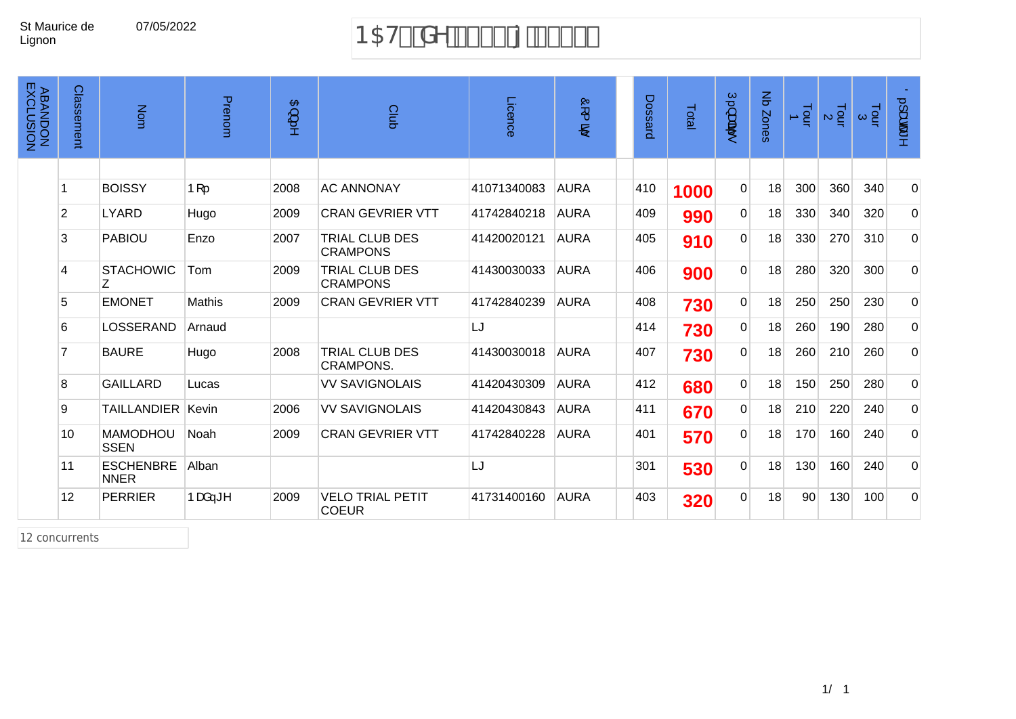## 07/05/2022 B5H' XY'% \$\$'{'&\$\$-'

| <b>ABANDON<br/>ABANDON</b> | <b>Classement</b> | Nom                             | Prenom | 召<br>∽<br>ţ, | Club                                     | Licence     | ór (<br>$\mathbf{B}^i$ | Dossard | Total | Ú.}æ<br>$\bullet$ | $\mathbf{g}$<br>Zones | $\frac{1}{2}$ | $\frac{1}{2}$ a | $\frac{1}{9}$ $\alpha$ | $0.1$ ææ"      |
|----------------------------|-------------------|---------------------------------|--------|--------------|------------------------------------------|-------------|------------------------|---------|-------|-------------------|-----------------------|---------------|-----------------|------------------------|----------------|
|                            |                   |                                 |        |              |                                          |             |                        |         |       |                   |                       |               |                 |                        |                |
|                            |                   | <b>BOISSY</b>                   | $P[$   | 2008         | <b>AC ANNONAY</b>                        | 41071340083 | <b>AURA</b>            | 410     | 1000  | $\mathbf 0$       | 18                    | 300           | 360             | 340                    | $\overline{0}$ |
|                            | 2                 | <b>LYARD</b>                    | Hugo   | 2009         | <b>CRAN GEVRIER VTT</b>                  | 41742840218 | <b>AURA</b>            | 409     | 990   | $\overline{0}$    | 18                    | 330           | 340             | 320                    | $\overline{0}$ |
|                            | 3                 | <b>PABIOU</b>                   | Enzo   | 2007         | TRIAL CLUB DES<br><b>CRAMPONS</b>        | 41420020121 | <b>AURA</b>            | 405     | 910   | $\Omega$          | 18                    | 330           | 270             | 310                    | $\overline{0}$ |
|                            | 4                 | <b>STACHOWIC</b><br>Z           | Tom    | 2009         | <b>TRIAL CLUB DES</b><br><b>CRAMPONS</b> | 41430030033 | <b>AURA</b>            | 406     | 900   | $\Omega$          | 18                    | 280           | 320             | 300                    | $\Omega$       |
|                            | 5                 | <b>EMONET</b>                   | Mathis | 2009         | <b>CRAN GEVRIER VTT</b>                  | 41742840239 | <b>AURA</b>            | 408     | 730   | $\mathbf 0$       | 18                    | 250           | 250             | 230                    | $\overline{0}$ |
|                            | 6                 | LOSSERAND                       | Arnaud |              |                                          | LJ          |                        | 414     | 730   | 0                 | 18                    | 260           | 190             | 280                    | $\overline{0}$ |
|                            | $\overline{7}$    | <b>BAURE</b>                    | Hugo   | 2008         | TRIAL CLUB DES<br><b>CRAMPONS.</b>       | 41430030018 | <b>AURA</b>            | 407     | 730   | $\Omega$          | 18                    | 260           | 210             | 260                    | $\Omega$       |
|                            | 8                 | <b>GAILLARD</b>                 | Lucas  |              | <b>VV SAVIGNOLAIS</b>                    | 41420430309 | <b>AURA</b>            | 412     | 680   | $\overline{0}$    | 18                    | 150           | 250             | 280                    | $\overline{0}$ |
|                            | 9                 | <b>TAILLANDIER</b>              | Kevin  | 2006         | <b>VV SAVIGNOLAIS</b>                    | 41420430843 | <b>AURA</b>            | 411     | 670   | $\Omega$          | 18                    | 210           | 220             | 240                    | $\overline{0}$ |
|                            | 10                | <b>MAMODHOU</b><br><b>SSEN</b>  | Noah   | 2009         | <b>CRAN GEVRIER VTT</b>                  | 41742840228 | <b>AURA</b>            | 401     | 570   | $\Omega$          | 18                    | 170           | 160             | 240                    | $\overline{0}$ |
|                            | 11                | <b>ESCHENBRE</b><br><b>NNER</b> | Alban  |              |                                          | LJ          |                        | 301     | 530   | $\mathbf 0$       | 18                    | 130           | 160             | 240                    | $\overline{0}$ |
|                            | 12                | <b>PERRIER</b>                  | bæå—≛^ | 2009         | <b>VELO TRIAL PETIT</b><br><b>COEUR</b>  | 41731400160 | AURA                   | 403     | 320   | $\overline{0}$    | 18                    | 90            | 130             | 100                    | $\Omega$       |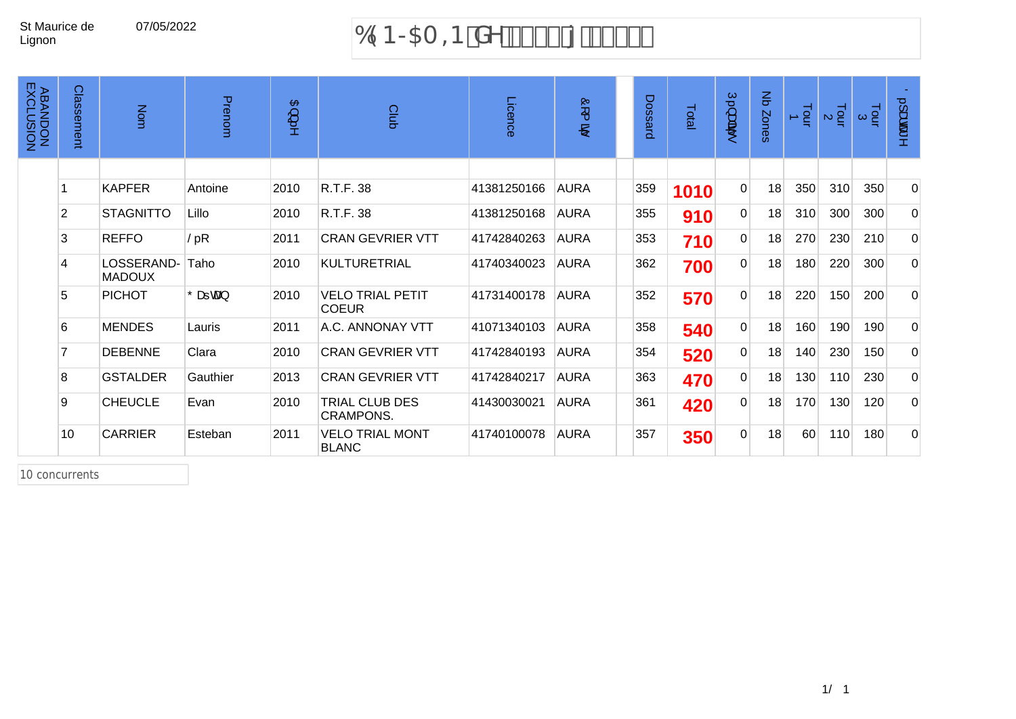## 07/05/2022 69B>5A =B XY &\$%\$ { &\$%%

| <b>ABANDON<br/>ABANDON</b> | Classement     | Nom                         | Prenom                   | $\mathfrak{B}$ ) | Club                                    | Licence     | Ò<br>$\overline{\phantom{1}}$<br>$\mathbf{B}$ | Dossard | Total | $\tilde{\mathbf{U}}$ ,<br>离<br>to. | $\overline{5}$<br>Zones | $\frac{1}{2}$ | $\frac{1}{2}$ a | $\frac{1}{9}$ $\alpha$ | 0.1aæ^         |
|----------------------------|----------------|-----------------------------|--------------------------|------------------|-----------------------------------------|-------------|-----------------------------------------------|---------|-------|------------------------------------|-------------------------|---------------|-----------------|------------------------|----------------|
|                            |                |                             |                          |                  |                                         |             |                                               |         |       |                                    |                         |               |                 |                        |                |
|                            |                | <b>KAPFER</b>               | Antoine                  | 2010             | R.T.F. 38                               | 41381250166 | <b>AURA</b>                                   | 359     | 1010  | $\Omega$                           | 18                      | 350           | 310             | 350                    | $\Omega$       |
|                            | $\overline{2}$ | <b>STAGNITTO</b>            | Lillo                    | 2010             | R.T.F. 38                               | 41381250168 | <b>AURA</b>                                   | 355     | 910   | $\overline{0}$                     | 18                      | 310           | 300             | 300                    | $\overline{0}$ |
|                            | 3              | <b>REFFO</b>                | $\check{\mathsf{S}}$ . [ | 2011             | <b>CRAN GEVRIER VTT</b>                 | 41742840263 | <b>AURA</b>                                   | 353     | 710   | $\overline{0}$                     | 18                      | 270           | 230             | 210                    | $\overline{0}$ |
|                            | $\overline{4}$ | LOSSERAND-<br><b>MADOUX</b> | Taho                     | 2010             | <b>KULTURETRIAL</b>                     | 41740340023 | <b>AURA</b>                                   | 362     | 700   | $\overline{0}$                     | 18                      | 180           | 220             | 300                    | $\overline{0}$ |
|                            | 5              | <b>PICHOT</b>               | Ôæ≕caa}                  | 2010             | <b>VELO TRIAL PETIT</b><br><b>COEUR</b> | 41731400178 | <b>AURA</b>                                   | 352     | 570   | $\overline{0}$                     | 18                      | 220           | 150             | 200                    | $\Omega$       |
|                            | 6              | <b>MENDES</b>               | Lauris                   | 2011             | A.C. ANNONAY VTT                        | 41071340103 | <b>AURA</b>                                   | 358     | 540   | $\overline{0}$                     | 18                      | 160           | 190             | 190                    | $\overline{0}$ |
|                            |                | <b>DEBENNE</b>              | Clara                    | 2010             | <b>CRAN GEVRIER VTT</b>                 | 41742840193 | <b>AURA</b>                                   | 354     | 520   | $\overline{0}$                     | 18                      | 140           | 230             | 150                    | $\overline{0}$ |
|                            | 8              | <b>GSTALDER</b>             | Gauthier                 | 2013             | <b>CRAN GEVRIER VTT</b>                 | 41742840217 | <b>AURA</b>                                   | 363     | 470   | $\overline{0}$                     | 18                      | 130           | 110             | 230                    | $\overline{0}$ |
|                            | 9              | <b>CHEUCLE</b>              | Evan                     | 2010             | TRIAL CLUB DES<br><b>CRAMPONS.</b>      | 41430030021 | <b>AURA</b>                                   | 361     | 420   | $\overline{0}$                     | 18                      | 170           | 130             | 120                    | $\overline{0}$ |
|                            | 10             | <b>CARRIER</b>              | Esteban                  | 2011             | <b>VELO TRIAL MONT</b><br><b>BLANC</b>  | 41740100078 | <b>AURA</b>                                   | 357     | 350   | $\overline{0}$                     | 18                      | 60            | 110             | 180                    | $\Omega$       |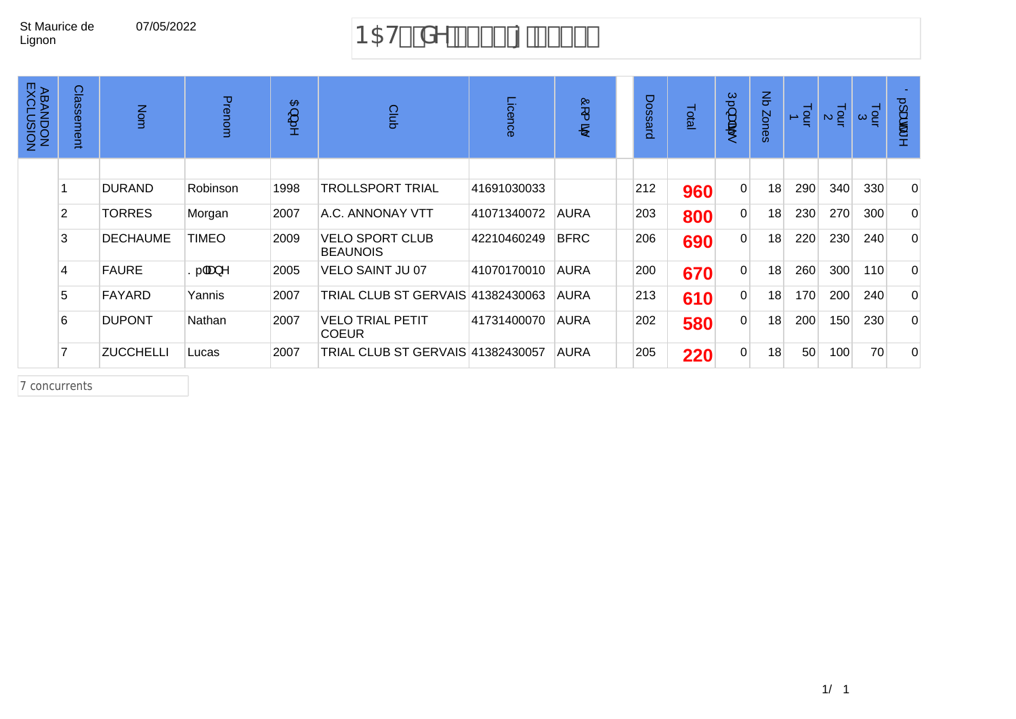## 07/05/2022 B5H& XY % \$\$ {  $8$ \$\$+

| <b>ABANDON<br/>ABANDON</b> | Classement     | Nom              | Prenom                       | $\mathbf{B}$<br>ىپ<br>5 | Club                                      | Licence     | Ò,<br>$\overline{\phantom{a}}$<br>B) | Dossard | Total | $\subset$<br>سيته<br>्क्षेत्री | $\mathbf{r}$<br>Zones | $\frac{1}{2}$ | $\frac{1}{2}$ $\alpha$ | $\frac{1}{2}$ $\alpha$ | $\circ$<br>laœ |
|----------------------------|----------------|------------------|------------------------------|-------------------------|-------------------------------------------|-------------|--------------------------------------|---------|-------|--------------------------------|-----------------------|---------------|------------------------|------------------------|----------------|
|                            |                |                  |                              |                         |                                           |             |                                      |         |       |                                |                       |               |                        |                        |                |
|                            |                | <b>DURAND</b>    | Robinson                     | 1998                    | TROLLSPORT TRIAL                          | 41691030033 |                                      | 212     | 960   | $\Omega$                       | 18                    | 290           | 340                    | 330                    | $\Omega$       |
|                            | $\overline{2}$ | <b>TORRES</b>    | Morgan                       | 2007                    | A.C. ANNONAY VTT                          | 41071340072 | <b>AURA</b>                          | 203     | 800   | $\overline{0}$                 | 18                    | 230           | 270                    | 300                    | 0              |
|                            | 3              | <b>DECHAUME</b>  | <b>TIMEO</b>                 | 2009                    | <b>VELO SPORT CLUB</b><br><b>BEAUNOIS</b> | 42210460249 | <b>BFRC</b>                          | 206     | 690   | $\Omega$                       | 18                    | 220           | 230                    | 240                    | $\mathbf 0$    |
|                            | 4              | <b>FAURE</b>     | $S.$ $\tilde{a}$ a $\lambda$ | 2005                    | VELO SAINT JU 07                          | 41070170010 | <b>AURA</b>                          | 200     | 670   | $\overline{0}$                 | 18                    | 260           | 300                    | 110                    | $\Omega$       |
|                            | 5              | <b>FAYARD</b>    | Yannis                       | 2007                    | TRIAL CLUB ST GERVAIS 41382430063         |             | <b>AURA</b>                          | 213     | 610   | $\Omega$                       | 18                    | 170           | 200                    | 240                    | $\Omega$       |
|                            | 6              | <b>DUPONT</b>    | Nathan                       | 2007                    | <b>VELO TRIAL PETIT</b><br><b>COEUR</b>   | 41731400070 | AURA                                 | 202     | 580   | $\Omega$                       | 18                    | 200           | 150                    | 230                    | $\Omega$       |
|                            | 7              | <b>ZUCCHELLI</b> | Lucas                        | 2007                    | TRIAL CLUB ST GERVAIS 41382430057         |             | <b>AURA</b>                          | 205     | 220   | $\Omega$                       | 18                    | 50            | 100                    | 70                     | $\Omega$       |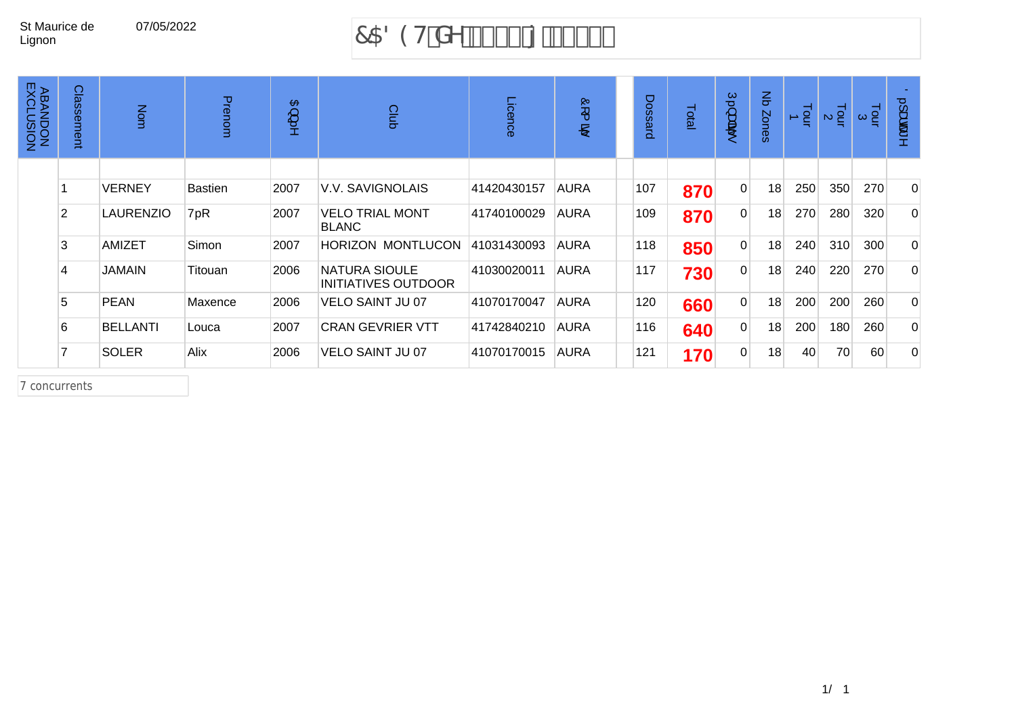## 07/05/2022 7589H XY &\$\$\* { &\$\$+

| <b>ABANDON<br/>ABANDON</b> | Classement     | Nom              | Prenom         | $\mathbf{B}$<br>پ<br>5 | Club                                   | Licence     | Ò<br>$\overline{\phantom{a}}$<br>B) | Dossard | Total | $\subseteq$<br>سيته<br>क्षेद्य<br>t. | $\mathbf{r}$<br>Zones | $\frac{1}{2}$ | Tour<br>$\mathbf{M}$ | $\frac{1}{9}$ | $\circ$<br>laœ |
|----------------------------|----------------|------------------|----------------|------------------------|----------------------------------------|-------------|-------------------------------------|---------|-------|--------------------------------------|-----------------------|---------------|----------------------|---------------|----------------|
|                            |                |                  |                |                        |                                        |             |                                     |         |       |                                      |                       |               |                      |               |                |
|                            |                | <b>VERNEY</b>    | <b>Bastien</b> | 2007                   | V.V. SAVIGNOLAIS                       | 41420430157 | AURA                                | 107     | 870   | $\overline{0}$                       | 18                    | 250           | 350                  | 270           | $\Omega$       |
|                            | $\overline{2}$ | <b>LAURENZIO</b> | V. [           | 2007                   | <b>VELO TRIAL MONT</b><br><b>BLANC</b> | 41740100029 | <b>AURA</b>                         | 109     | 870   | $\overline{0}$                       | 18                    | 270           | 280                  | 320           | 0              |
|                            | 3              | AMIZET           | Simon          | 2007                   | <b>HORIZON MONTLUCON</b>               | 41031430093 | AURA                                | 118     | 850   | $\overline{0}$                       | 18                    | 240           | 310                  | 300           | 0              |
|                            | 4              | <b>JAMAIN</b>    | Titouan        | 2006                   | NATURA SIOULE<br>INITIATIVES OUTDOOR   | 41030020011 | <b>AURA</b>                         | 117     | 730   | $\overline{0}$                       | 18                    | 240           | 220                  | 270           | 0              |
|                            | 5              | <b>PEAN</b>      | Maxence        | 2006                   | <b>VELO SAINT JU 07</b>                | 41070170047 | <b>AURA</b>                         | 120     | 660   | $\overline{0}$                       | 18                    | 200           | 200                  | 260           | 0              |
|                            | 6              | <b>BELLANTI</b>  | Louca          | 2007                   | <b>CRAN GEVRIER VTT</b>                | 41742840210 | <b>AURA</b>                         | 116     | 640   | $\Omega$                             | 18                    | 200           | 180                  | 260           | 0              |
|                            |                | <b>SOLER</b>     | Alix           | 2006                   | <b>VELO SAINT JU 07</b>                | 41070170015 | <b>AURA</b>                         | 121     | 170   | $\overline{0}$                       | 18                    | 40            | 70                   | 60            | 0              |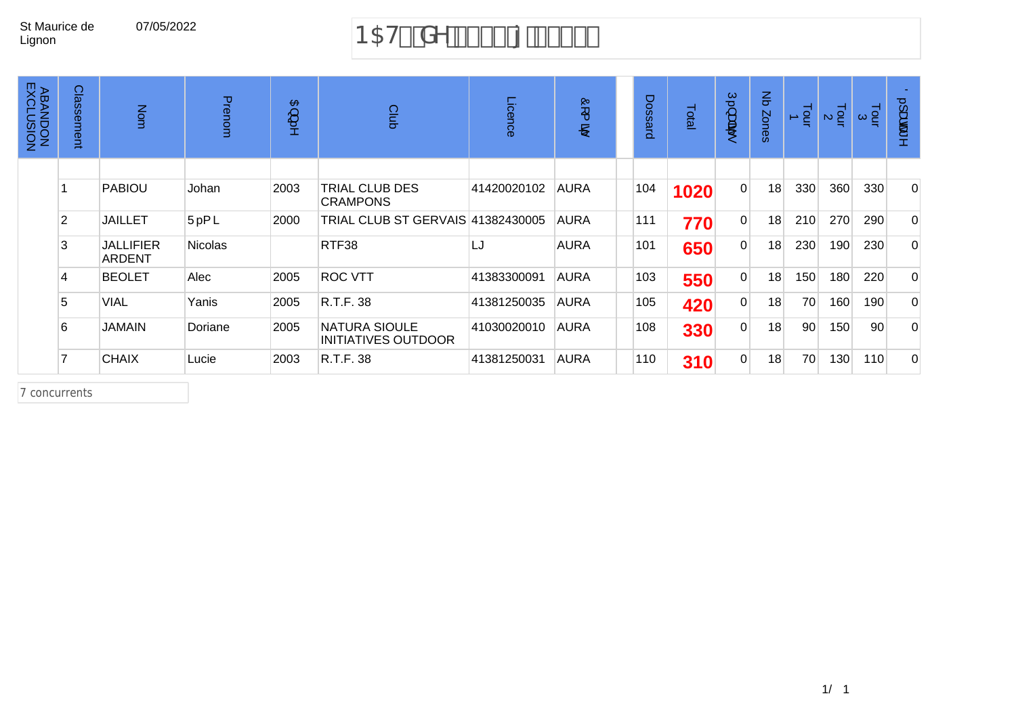# 07/05/2022 B5H%XY'% \$\$'{'&\$\$)

| <b>ABANDON<br/>ABANDON</b> | Classel<br>ment | Nom                        | Prenom         | $\mathbf{B}$<br>پ<br>18 | Club                                               | Licence     | Ğ<br>$\overline{\phantom{a}}$<br>B) | Dossard | Total | C,<br>سيته<br>्क्षेत्री<br>t. | $\mathbf{\Xi}$<br>Zones | $\frac{1}{2}$ | $\frac{1}{2}$ a | $\frac{1}{2}$ $\infty$ | $\overline{O}$<br>laœ<br>8 |
|----------------------------|-----------------|----------------------------|----------------|-------------------------|----------------------------------------------------|-------------|-------------------------------------|---------|-------|-------------------------------|-------------------------|---------------|-----------------|------------------------|----------------------------|
|                            |                 |                            |                |                         |                                                    |             |                                     |         |       |                               |                         |               |                 |                        |                            |
|                            |                 | <b>PABIOU</b>              | Johan          | 2003                    | <b>TRIAL CLUB DES</b><br><b>CRAMPONS</b>           | 41420020102 | <b>AURA</b>                         | 104     | 1020  | $\overline{0}$                | 18                      | 330           | 360             | 330                    | $\mathbf{0}$               |
|                            | $\overline{2}$  | <b>JAILLET</b>             | Ü. { ã         | 2000                    | TRIAL CLUB ST GERVAIS 41382430005                  |             | <b>AURA</b>                         | 111     | 770   | $\overline{0}$                | 18                      | 210           | 270             | 290                    | $\Omega$                   |
|                            | 3               | <b>JALLIFIER</b><br>ARDENT | <b>Nicolas</b> |                         | RTF38                                              | LJ          | <b>AURA</b>                         | 101     | 650   | 0                             | 18                      | 230           | 190             | 230                    | $\Omega$                   |
|                            | 4               | <b>BEOLET</b>              | Alec           | 2005                    | <b>ROC VTT</b>                                     | 41383300091 | <b>AURA</b>                         | 103     | 550   | $\overline{0}$                | 18                      | 150           | 180             | 220                    | $\Omega$                   |
|                            | 5               | <b>VIAL</b>                | Yanis          | 2005                    | R.T.F. 38                                          | 41381250035 | <b>AURA</b>                         | 105     | 420   | $\overline{0}$                | 18                      | 70            | 160             | 190                    | $\Omega$                   |
|                            | 6               | <b>JAMAIN</b>              | Doriane        | 2005                    | <b>NATURA SIOULE</b><br><b>INITIATIVES OUTDOOR</b> | 41030020010 | <b>AURA</b>                         | 108     | 330   | $\overline{0}$                | 18                      | 90            | 150             | 90                     | $\Omega$                   |
|                            |                 | <b>CHAIX</b>               | Lucie          | 2003                    | R.T.F. 38                                          | 41381250031 | <b>AURA</b>                         | 110     | 310   | $\overline{0}$                | 18                      | 70            | 130             | 110                    | $\Omega$                   |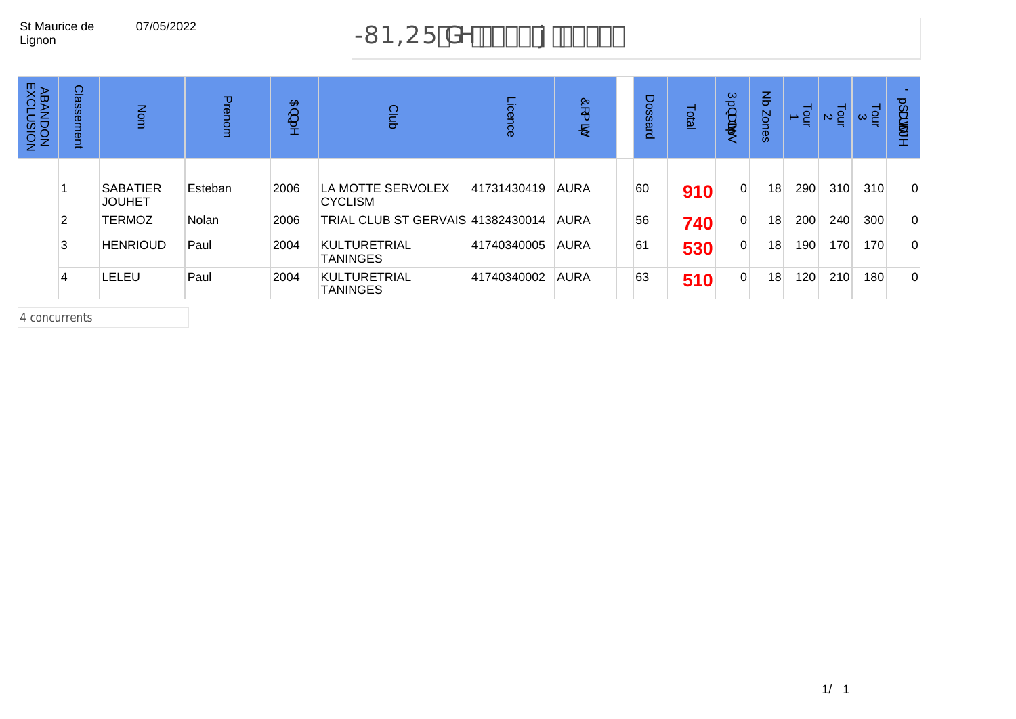# 07/05/2022 - SIMBECF XY &\$\$({'&\$\$)

| <b>ABAN</b><br>FXCL<br>NOISMT<br>NOQN | Classe<br>eut  | Nom                              | Prenom  | $\mathbf{B}$<br>ىب<br>18 | Club                                | Licence     | $\mathbf{Q}$<br>$\overline{\phantom{a}}$<br>B) | Dossard | Total | Ģ.<br>ىپ<br>क्षेद्य | $\mathbf{r}$<br>Zones | $\frac{1}{2}$ | $\frac{1}{2}$ $\alpha$ | $\frac{1}{2}$ $\alpha$ | $\overline{O}$<br>ىپ<br>த்த |
|---------------------------------------|----------------|----------------------------------|---------|--------------------------|-------------------------------------|-------------|------------------------------------------------|---------|-------|---------------------|-----------------------|---------------|------------------------|------------------------|-----------------------------|
|                                       |                | <b>SABATIER</b><br><b>JOUHET</b> | Esteban | 2006                     | LA MOTTE SERVOLEX<br><b>CYCLISM</b> | 41731430419 | <b>AURA</b>                                    | 60      | 910   | $\Omega$            | 18                    | 290           | 310                    | 310                    | $\mathbf{0}$                |
|                                       | $\overline{2}$ | <b>TERMOZ</b>                    | Nolan   | 2006                     | TRIAL CLUB ST GERVAIS 41382430014   |             | <b>AURA</b>                                    | 56      | 740   | $\Omega$            | 18                    | 200           | 240                    | 300                    | $\Omega$                    |
|                                       | 3              | <b>HENRIOUD</b>                  | Paul    | 2004                     | KULTURETRIAL<br><b>TANINGES</b>     | 41740340005 | <b>AURA</b>                                    | 61      | 530   | $\overline{0}$      | 18 <sub>1</sub>       | 190           | 170                    | 170                    | $\Omega$                    |
|                                       | 4              | LELEU                            | Paul    | 2004                     | KULTURETRIAL<br><b>TANINGES</b>     | 41740340002 | <b>AURA</b>                                    | 63      | 510   | $\Omega$            | 18                    | 120           | 210                    | 180                    | $\mathbf{0}$                |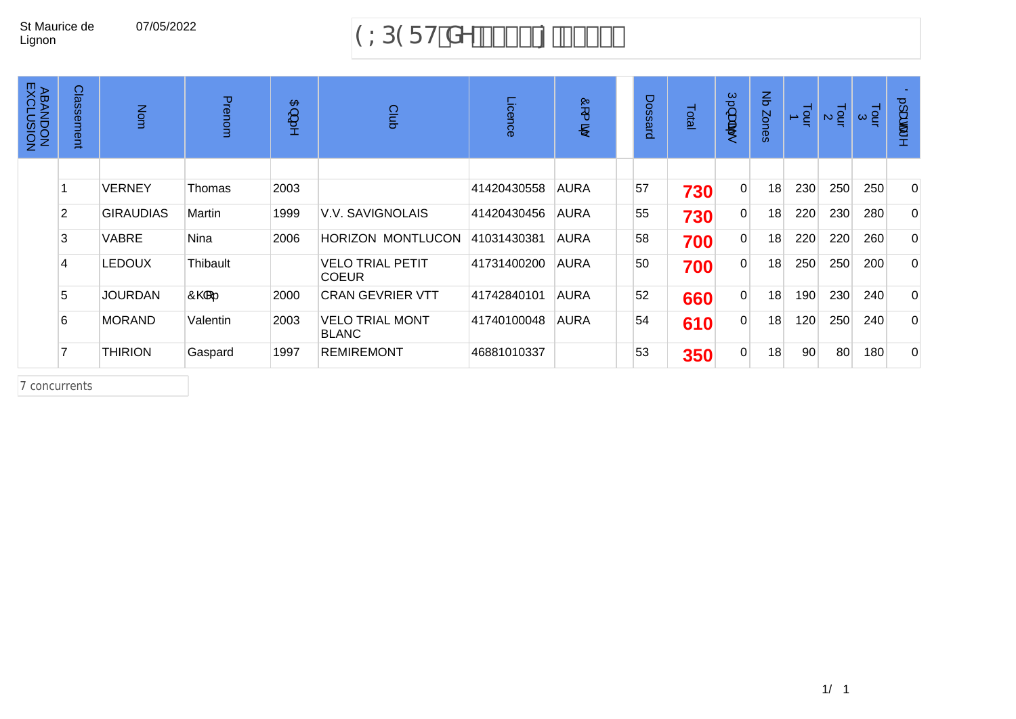## 07/05/2022 9LD9FHXY'% \$\$'{'&\$\$'

| <b>ABANDON<br/>ABANDON</b> | Classement | Nom              | Prenom                | $\mathbf{B}$<br>ىپ<br>:<br>خ | Club                                    | Licence     | $\overline{\mathcal{Q}}$<br>$\overline{\phantom{a}}$<br>இ | Dossard | Total | Ō,<br>ىپ<br>अंदी<br>to. | $\frac{2}{5}$<br>Zones | $\frac{1}{2}$ | $\frac{1}{2}a$ | اء<br>ا⊃ا | $\overline{O}$<br>ىپ<br>க்கூ |
|----------------------------|------------|------------------|-----------------------|------------------------------|-----------------------------------------|-------------|-----------------------------------------------------------|---------|-------|-------------------------|------------------------|---------------|----------------|-----------|------------------------------|
|                            |            |                  |                       |                              |                                         |             |                                                           |         |       |                         |                        |               |                |           |                              |
|                            |            | <b>VERNEY</b>    | Thomas                | 2003                         |                                         | 41420430558 | <b>AURA</b>                                               | 57      | 730   | $\overline{0}$          | 18                     | 230           | 250            | 250       | $\overline{0}$               |
|                            | 2          | <b>GIRAUDIAS</b> | Martin                | 1999                         | <b>V.V. SAVIGNOLAIS</b>                 | 41420430456 | <b>AURA</b>                                               | 55      | 730   | $\overline{0}$          | 18                     | 220           | 230            | 280       | $\overline{0}$               |
|                            | 3          | VABRE            | Nina                  | 2006                         | <b>HORIZON MONTLUCON</b>                | 41031430381 | <b>AURA</b>                                               | 58      | 700   | $\overline{0}$          | 18                     | 220           | 220            | 260       | $\overline{0}$               |
|                            | 4          | <b>LEDOUX</b>    | Thibault              |                              | <b>VELO TRIAL PETIT</b><br><b>COEUR</b> | 41731400200 | <b>AURA</b>                                               | 50      | 700   | $\overline{0}$          | 18                     | 250           | 250            | 200       | $\Omega$                     |
|                            | 5          | <b>JOURDAN</b>   | $\hat{O}$ o $\hat{q}$ | 2000                         | <b>CRAN GEVRIER VTT</b>                 | 41742840101 | <b>AURA</b>                                               | 52      | 660   | $\overline{0}$          | 18                     | 190           | 230            | 240       | $\Omega$                     |
|                            | 6          | <b>MORAND</b>    | Valentin              | 2003                         | <b>VELO TRIAL MONT</b><br><b>BLANC</b>  | 41740100048 | <b>AURA</b>                                               | 54      | 610   | $\overline{0}$          | 18                     | 120           | 250            | 240       | $\Omega$                     |
|                            |            | <b>THIRION</b>   | Gaspard               | 1997                         | <b>REMIREMONT</b>                       | 46881010337 |                                                           | 53      | 350   | $\overline{0}$          | 18                     | 90            | 80             | 180       | $\Omega$                     |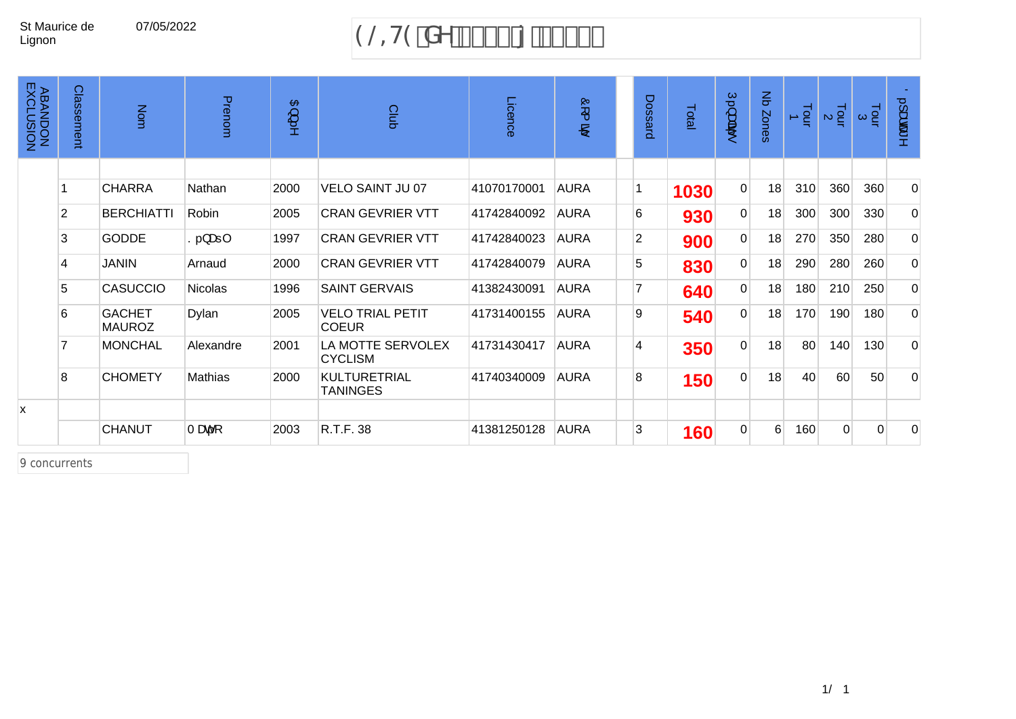## 07/05/2022 9@H9 XY % \$\$ {  $85$

| <b>ABANDON<br/>ABANDON</b> | Classement     | Nom                            | Prenom         | $\mathbf{B}$<br>ىپ<br>:<br>خ | Club                                    | Licence     | Ò<br>$\overline{\phantom{1}}$<br>$\mathbf{B}$ | Dossard        | Total | Ú.}<br>क्षेद्य<br>to. | $\frac{Z}{\sigma}$<br><b>Zones</b> | Tour | $\frac{1}{2}$  | $\frac{1}{9}$ $\alpha$ | 0. Jadoot<br>$\geq$ |
|----------------------------|----------------|--------------------------------|----------------|------------------------------|-----------------------------------------|-------------|-----------------------------------------------|----------------|-------|-----------------------|------------------------------------|------|----------------|------------------------|---------------------|
|                            |                |                                |                |                              |                                         |             |                                               |                |       |                       |                                    |      |                |                        |                     |
|                            |                | <b>CHARRA</b>                  | Nathan         | 2000                         | <b>VELO SAINT JU 07</b>                 | 41070170001 | <b>AURA</b>                                   | 1              | 1030  | $\overline{0}$        | 18                                 | 310  | 360            | 360                    | $\overline{0}$      |
|                            | $\overline{2}$ | <b>BERCHIATTI</b>              | Robin          | 2005                         | <b>CRAN GEVRIER VTT</b>                 | 41742840092 | <b>AURA</b>                                   | 6              | 930   | $\overline{0}$        | 18                                 | 300  | 300            | 330                    | $\overline{0}$      |
|                            | 3              | <b>GODDE</b>                   | $S.\}$ æ $ $   | 1997                         | <b>CRAN GEVRIER VTT</b>                 | 41742840023 | <b>AURA</b>                                   | $\overline{2}$ | 900   | $\overline{0}$        | 18                                 | 270  | 350            | 280                    | $\overline{0}$      |
|                            | 4              | <b>JANIN</b>                   | Arnaud         | 2000                         | <b>CRAN GEVRIER VTT</b>                 | 41742840079 | <b>AURA</b>                                   | 5              | 830   | $\overline{0}$        | 18                                 | 290  | 280            | 260                    | $\overline{0}$      |
|                            | 5              | <b>CASUCCIO</b>                | <b>Nicolas</b> | 1996                         | <b>SAINT GERVAIS</b>                    | 41382430091 | <b>AURA</b>                                   | 7              | 640   | $\overline{0}$        | 18                                 | 180  | 210            | 250                    | $\overline{0}$      |
|                            | 6              | <b>GACHET</b><br><b>MAUROZ</b> | Dylan          | 2005                         | <b>VELO TRIAL PETIT</b><br><b>COEUR</b> | 41731400155 | <b>AURA</b>                                   | 9              | 540   | $\overline{0}$        | 18                                 | 170  | 190            | 180                    | $\overline{0}$      |
|                            |                | <b>MONCHAL</b>                 | Alexandre      | 2001                         | LA MOTTE SERVOLEX<br><b>CYCLISM</b>     | 41731430417 | <b>AURA</b>                                   | $\overline{4}$ | 350   | $\overline{0}$        | 18                                 | 80   | 140            | 130                    | $\overline{0}$      |
|                            | 8              | <b>CHOMETY</b>                 | Mathias        | 2000                         | <b>KULTURETRIAL</b><br><b>TANINGES</b>  | 41740340009 | <b>AURA</b>                                   | $\bf{8}$       | 150   | $\overline{0}$        | 18                                 | 40   | 60             | 50 <sup>°</sup>        | $\Omega$            |
| x                          |                |                                |                |                              |                                         |             |                                               |                |       |                       |                                    |      |                |                        |                     |
|                            |                | CHANUT                         | Tæc.[.         | 2003                         | R.T.F. 38                               | 41381250128 | <b>AURA</b>                                   | $\overline{3}$ | 160   | $\overline{0}$        | $6 \overline{6}$                   | 160  | $\overline{0}$ | $\Omega$               | $\Omega$            |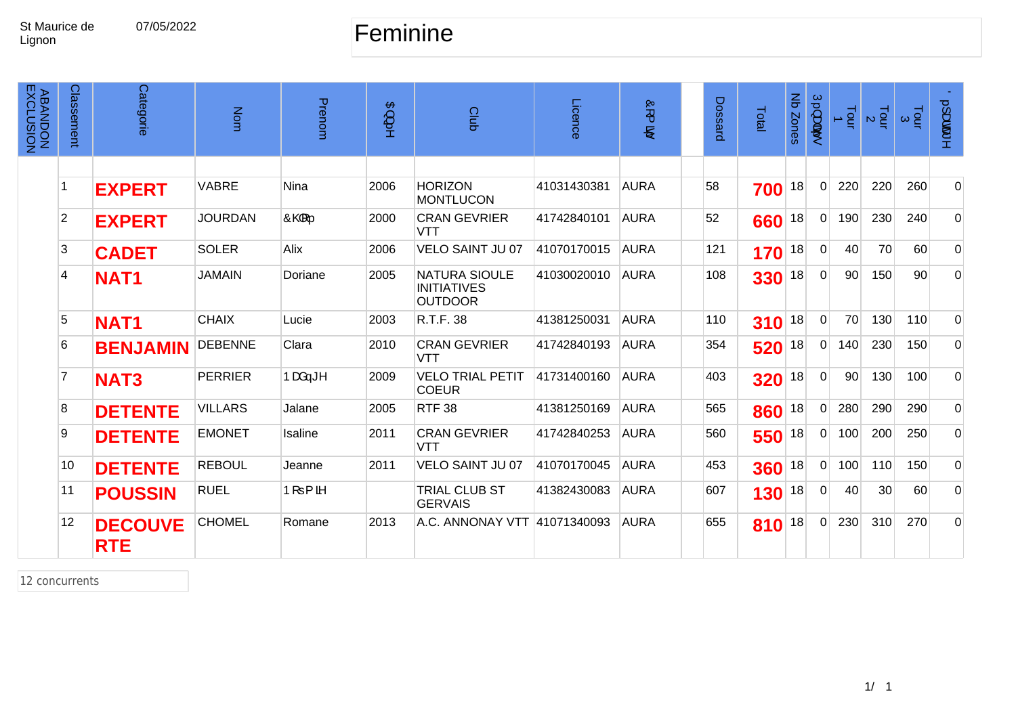#### 07/05/2022 Feminine

| <b>ABANDON<br/>EXCLUSION</b> | Classement     | Categorie                    | Nom            | Prenom                | $\mathfrak{B}\}$<br>ţ. | Club                                                         | Licence     | $\overline{Q}$<br>e) | Dossard | Total | Nb Zones | $\dot{U}$ .) apa<br>to. | $\frac{1}{2}$ | $\frac{1}{2}$ | $\frac{1}{2}$ $\infty$ | $0.1$ ææ*      |
|------------------------------|----------------|------------------------------|----------------|-----------------------|------------------------|--------------------------------------------------------------|-------------|----------------------|---------|-------|----------|-------------------------|---------------|---------------|------------------------|----------------|
|                              |                |                              |                |                       |                        |                                                              |             |                      |         |       |          |                         |               |               |                        |                |
|                              |                | <b>EXPERT</b>                | <b>VABRE</b>   | Nina                  | 2006                   | <b>HORIZON</b><br><b>MONTLUCON</b>                           | 41031430381 | <b>AURA</b>          | 58      | 700   | 18       | $\Omega$                | 220           | 220           | 260                    | $\mathbf 0$    |
|                              | $\overline{2}$ | <b>EXPERT</b>                | <b>JOURDAN</b> | $\hat{O}$ o $\hat{q}$ | 2000                   | <b>CRAN GEVRIER</b><br><b>VTT</b>                            | 41742840101 | <b>AURA</b>          | 52      | 660   | 18       | $\Omega$                | 190           | 230           | 240                    | $\overline{0}$ |
|                              | 3              | <b>CADET</b>                 | <b>SOLER</b>   | Alix                  | 2006                   | <b>VELO SAINT JU 07</b>                                      | 41070170015 | <b>AURA</b>          | 121     | 170   | 18       | $\Omega$                | 40            | 70            | 60                     | $\mathbf 0$    |
|                              | 4              | <b>NAT1</b>                  | <b>JAMAIN</b>  | Doriane               | 2005                   | <b>NATURA SIOULE</b><br><b>INITIATIVES</b><br><b>OUTDOOR</b> | 41030020010 | <b>AURA</b>          | 108     | 330   | 18       | $\mathbf{0}$            | 90            | 150           | 90 <sup>°</sup>        | $\mathbf 0$    |
|                              | 5              | <b>NAT1</b>                  | <b>CHAIX</b>   | Lucie                 | 2003                   | R.T.F. 38                                                    | 41381250031 | <b>AURA</b>          | 110     | 310   | 18       | $\Omega$                | 70            | 130           | 110                    | $\Omega$       |
|                              | 6              | <b>BENJAMIN</b>              | <b>DEBENNE</b> | Clara                 | 2010                   | <b>CRAN GEVRIER</b><br>VTT                                   | 41742840193 | <b>AURA</b>          | 354     | 520   | 18       | $\Omega$                | 140           | 230           | 150                    | $\mathbf 0$    |
|                              | $\overline{7}$ | <b>NAT3</b>                  | <b>PERRIER</b> | Þæå—≛^                | 2009                   | <b>VELO TRIAL PETIT</b><br><b>COEUR</b>                      | 41731400160 | <b>AURA</b>          | 403     | 320   | 18       | $\Omega$                | 90            | 130           | 100                    | 0              |
|                              | 8              | <b>DETENTE</b>               | <b>VILLARS</b> | Jalane                | 2005                   | <b>RTF 38</b>                                                | 41381250169 | <b>AURA</b>          | 565     | 860   | 18       | $\Omega$                | 280           | 290           | 290                    | $\mathbf 0$    |
|                              | 9              | <b>DETENTE</b>               | <b>EMONET</b>  | Isaline               | 2011                   | <b>CRAN GEVRIER</b><br><b>VTT</b>                            | 41742840253 | <b>AURA</b>          | 560     | 550   | 18       | $\Omega$                | 100           | 200           | 250                    | $\mathbf 0$    |
|                              | 10             | <b>DETENTE</b>               | <b>REBOUL</b>  | Jeanne                | 2011                   | <b>VELO SAINT JU 07</b>                                      | 41070170045 | <b>AURA</b>          | 453     | 360   | 18       | $\mathbf 0$             | 100           | 110           | 150                    | $\overline{0}$ |
|                              | 11             | <b>POUSSIN</b>               | <b>RUEL</b>    | $P[ = \{ \delta \}$   |                        | <b>TRIAL CLUB ST</b><br><b>GERVAIS</b>                       | 41382430083 | <b>AURA</b>          | 607     | 130   | 18       | $\Omega$                | 40            | 30            | 60                     | $\overline{0}$ |
|                              | 12             | <b>DECOUVE</b><br><b>RTE</b> | <b>CHOMEL</b>  | Romane                | 2013                   | A.C. ANNONAY VTT 41071340093                                 |             | <b>AURA</b>          | 655     | 810   | 18       | $\Omega$                | 230           | 310           | 270                    | $\Omega$       |